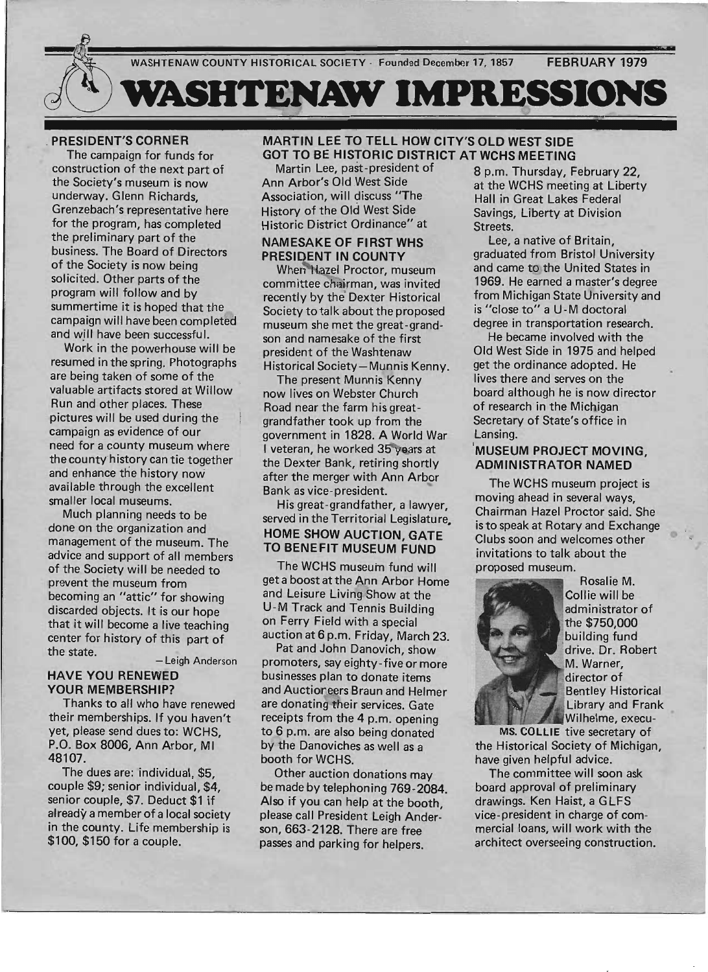

#### . PRESIDENT'S CORNER

The campaign for funds for . construction of the next part of the Society's museum is now underway. Glenn Richards, Grenzebach's representative here for the program, has completed the preliminary part of the business. The Board of Directors of the Society is now being solicited. Other parts of the program will follow and by summertime it is hoped that the campaign will have been completed and will have been successful.

Work in the powerhouse will be resumed in the spring. Photographs are being taken of some of the valuable artifacts stored at Willow Run and other places. These pictures will be used during the campaign as evidence of our need for a county museum where the county history can tie together and enhance the history now available through the excellent smaller local museums.

Much planning needs to be done on the organization and management of the museum. The advice and support of all members of the Society will be needed to prevent the museum from becoming an "attic" for showing discarded objects. It is our hope that it will become a live teaching center for history of this part of the state. - Leigh Anderson

#### HAVE YOU RENEWED YOUR MEMBERSHIP?

Thanks to all who have renewed their memberships. If you haven't yet, please send dues to: WCHS, P.O. Box 8006, Ann Arbor, MI 48107.

The dues are: individual, \$5, couple \$9; senior individual, \$4, senior couple, \$7. Deduct \$1 if already a member of a local society in the county. Life membership is \$100, \$150 for a couple.

### MARTIN LEE TO TELL HOW CITY'S OLD WEST SIDE GOT TO BE HISTORIC DISTRICT AT WCHS MEETING

Association, will discuss "The Hall in Great Lakes Federal History of the Old West Side Savings, Liberty at Division Historic District Ordinance" at Streets.

# NAMESAKE OF FIRST WHS Lee, a native of Britain,

committee chairman, was invited 1969. He earned a master's degree Society to talk about the proposed is "close to" a U-M doctoral museum she met the great-grand- degree in transportation research. son and namesake of the first He became involved with the president of the Washtenaw Old West Side in 1975 and helped Historical Society-Munnis Kenny. get the ordinance adopted. He

The present Munnis Kenny lives there and serves on the now lives on Webster Church board although he is now director Road near the farm his great- of research in the Michigan grandfather took up from the Secretary of State's office in government in 1828. A World War Lansing. I veteran, he worked 35 years at 'MUSEUM PROJECT MOVING. the Dexter Bank, retiring shortly **ADMINISTRATOR NAMED** after the merger with Ann Arbor Bank as vice-president.

His great-grandfather, a lawyer, served in the Territorial Legislature. HOME SHOW AUCTION, GATE TO BENEFIT MUSEUM FUND

The WCHS museum fund will get a boost at the Ann Arbor Home and Leisure Living Show at the U-M Track and Tennis Building on Ferry Field with a special auction at 6 p.m. Friday, March 23.

Pat and John Danovich, show promoters, say eighty -five or more businesses plan to donate items and Auctioneers Braun and Helmer are donating their services. Gate receipts from the 4 p.m. opening to 6 p.m. are also being donated by the Danoviches as well as a booth for WCHS.

Other auction donations may be made by telephoning 769-2084. Also if you can help at the booth, please call President Leigh Anderson, 663-2128. There are free passes and parking for helpers.

Martin Lee, past-president of 8 p.m. Thursday, February 22, Ann Arbor's Old West Side at the WCHS meeting at Liberty

PRESIDENT IN COUNTY graduated from Bristol University When Hazel Proctor, museum and came to the United States in recently by the Dexter Historical from Michigan State University and

The WCHS museum project is moving ahead in several ways, Chairman Hazel Proctor said. She is to speak at Rotary and Exchange Clubs soon and welcomes other invitations to talk about the proposed museum.



Rosalie M. Collie will be administrator of the \$750,000 building fund drive. Dr. Robert M. Warner, director of **Bentley Historical** Library and Frank Wilhelme, execu-

MS. COLLIE tive secretary of the Historical Society of Michigan, have given helpful advice.

The committee will soon ask board approval of preliminary drawings. Ken Haist, a GLFS vice-president in charge of commercial loans, will work with the architect overseeing construction.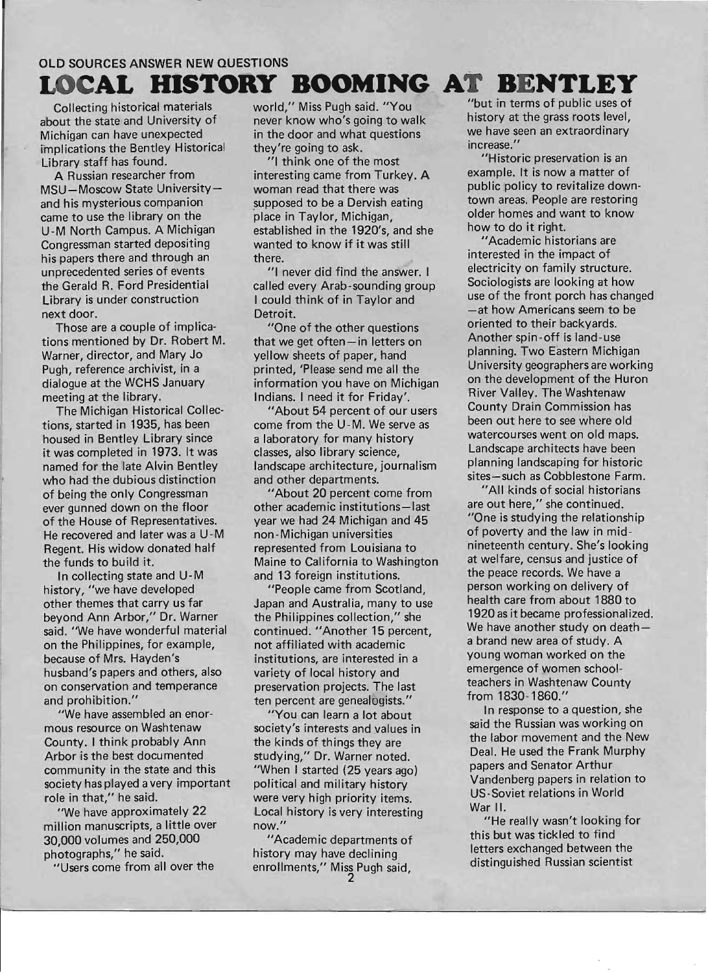# OLD SOURCES ANSWER NEW QUESTIONS **LOCAL HISTORY BOOMING AT BENTLEY**

Collecting historical materials about the state and University of Michigan can have unexpected implications the Bentley Historical Library staff has found.

A Russian researcher from MSU-Moscow State Universityand his mysterious companion came to use the library on the U-M North Campus. A Michigan Congressman started depositing his papers there and through an unprecedented series of events the Gerald R. Ford Presidential Library is under construction next door.

Those are a couple of implications mentioned by Dr. Robert M. Warner, director, and Mary Jo Pugh, reference archivist, in a dialogue at the WCHS January meeting at the library.

The Michigan Historical Collections, started in 1935, has been housed in Bentley Library since it was completed in 1973. It was named for the late Alvin Bentley who had the dubious distinction of being the only Congressman ever gunned down on the floor of the House of Representatives. He recovered and later was a U -M Regent. His widow donated half the funds to build it.

In collecting state and U-M history, "we have developed other themes that carry us far beyond Ann Arbor," Dr. Warner said. "We have wonderful material on the Philippines, for example, because of Mrs. Hayden's husband's papers and others, also on conservation and temperance and prohibition."

"We have assembled an enormous resource on Washtenaw County. I think probably Ann Arbor is the best documented community in the state and this society has played a very important role in that," he said.

"We have approximately 22 million manuscripts, a little over 30,000 volumes and 250,000 photographs," he said.

"Users come from all over the

world," Miss Pugh said. "You never know who's going to walk in the door and what questions they're going to ask.

"1 think one of the most interesting came from Turkey. A woman read that there was supposed to be a Dervish eating place in Taylor, Michigan, established in the 1920's, and she wanted to know if it was still there.

"1 never did find the answer. I called every Arab-sounding group I could think of in Taylor and Detroit.

"One of the other questions that we get often-in letters on yellow sheets of paper, hand printed, 'Please send me all the information you have on Michigan Indians. I need it for Friday'.

"About 54 percent of our users come from the U-M. We serve as a laboratory for many history classes, also library science, landscape architecture, journalism and other departments.

"About 20 percent come from other academic institutions-last year we had 24 Michigan and 45 non-Michigan universities represented from Louisiana to Maine to California to Washington and 13 foreign institutions.

"People came from Scotland, Japan and Australia, many to use the Philippines collection," she continued. "Another 15 percent, not affiliated with academic institutions, are interested in a variety of local history and preservation projects. The last ten percent are genealogists."

"You can learn a lot about society's interests and values in the kinds of things they are studying," Dr. Warner noted. "When I started (25 years ago) political and military history were very high priority items. Local history is very interesting now."

"Academic departments of history may have declining enrollments," Miss Pugh said,

"but in terms of public uses of history at the grass roots level, we have seen an extraordinary increase. "

"Historic preservation is an example. It is now a matter of public policy to revitalize downtown areas. People are restoring older homes and want to know how to do it right.

"Academic historians are interested in the impact of electricity on family structure. Sociologists are looking at how use of the front porch has changed -at how Americans seem to be oriented to their backyards. Another spin -off is land -use planning. Two Eastern Michigan University geographers are working on the development of the Huron River Valley. The Washtenaw County Drain Commission has been out here to see where old watercourses went on old maps. Landscape architects have been planning landscaping for historic sites-such as Cobblestone Farm.

"All kinds of social historians are out here," she continued. "One is studying the relationship of poverty and the law in midnineteenth century. She's looking at welfare, census and justice of the peace records. We have a person working on delivery of health care from about 1880 to 1920as it became professionalized. We have another study on deatha brand new area of study. A young woman worked on the emergence of women schoolteachers in Washtenaw County from 1830-1860."

In response to a question, she said the Russian was working on the labor movement and the New Deal. He used the Frank Murphy papers and Senator Arthur Vandenberg papers in relation to US-Soviet relations in World War II.

"He really wasn't looking for this but was tickled to find letters exchanged between the distinguished Russian scientist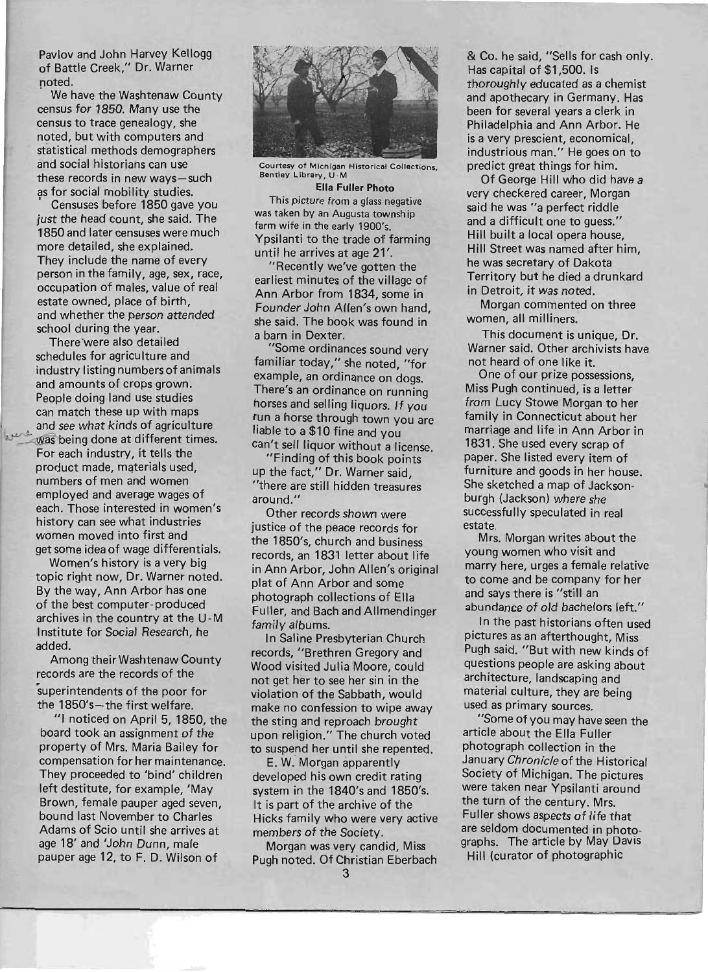Pavlov and John Harvey Kellogg of Battle Creek," Dr. Warner noted.

We have the Washtenaw County census for 1850. Many use the census to trace genealogy, she noted, but with computers and statistical methods demographers and social historians can use these records in new ways-such as for social mobility studies.

Censuses before 1850 gave you just the head count, she said. The 1850 and later censuses were much more detailed, she explained. They include the name of every person in the family, age, sex, race, occupation of males, value of real estate owned, place of birth, and whether the person attended school during the year.

There'were also detailed schedules for agriculture and industry listing numbers of animals and amounts of crops grown. People doing land use studies can match these up with maps and see what kinds of agriculture<br>was being done at different times. was being done at different times.<br>For each industry, it tells the product made, materials used, numbers of men and women employed and average wages of each. Those interested in women's history can see what industries women moved into first and get some idea of wage differentials.

> Women's history is a very big topic right now, Dr. Warner noted. By the way, Ann Arbor has one of the best computer-produced archives in the country at the U-M Institute for Social Research, he added.

Among their Washtenaw County records are the records of the superintendents of the poor for the 1850's-the first welfare.

"I noticed on April 5, 1850, the board took an assignment of the property of Mrs. Maria Bailey for compensation for her maintenance. They proceeded to 'bind' children left destitute, for example, 'May Brown, female pauper aged seven, bound last November to Charles Adams of Scio until she arrives at age 18' and 'John Dunn, male pauper age 12, to F. D. Wilson of



Courtesy of Michigan Historical Collections, Bentley Library, U-M

Ella Fuller Photo This picture from a glass negative was taken by an Augusta township farm wife in the early 1900's. Ypsilanti to the trade of farming until he arrives at age 21'.

"Recently we've gotten the earliest minutes of the village of Ann Arbor from 1834, some in Founder John Allen's own hand, she said. The book was found in a barn in Dexter.

"Some ordinances sound very familiar today," she noted, "for example, an ordinance on dogs. There's an ordinance on running horses and selling liquors. If you run a horse through town you are liable to a \$10 fine and you can't sell liquor without a license.

"Finding of this book points up the fact," Dr. Warner said, "there are still hidden treasures around."

Other records shown were justice of the peace records for the 1850's, church and business records, an 1831 letter about life in Ann Arbor, John Allen's original plat of Ann Arbor and some photograph collections of Ella Fuller, and Bach and Allmendinger family albums.

In Saline Presbyterian Church records, "Brethren Gregory and Wood visited Julia Moore, could not get her to see her sin in the violation of the Sabbath, would make no confession to wipe away the sting and reproach brought upon religion." The church voted to suspend her until she repented.

E. W. Morgan apparently developed his own credit rating system in the 1840's and 1850's. It is part of the archive of the Hicks family who were very active members of the Society.

Morgan was very candid, Miss ugh noted. Of Christian Eberbach & Co. he said, "Sells for cash only. Has cap ital of \$1,500. Is thoroughly educated as a chemist and apothecary in Germany. Has been for several years a clerk in Philadelphia and Ann Arbor. He is a very prescient, economical, industrious man." He goes on to predict great things for him.

Of George Hill who did have a very checkered career, Morgan said he was "a perfect riddle and a difficult one to guess." Hill built a local opera house, Hill Street was named after him, he was secretary of Dakota Territory but he died a drunkard in Detroit, it was noted.

Morgan commented on three women, all milliners.

This document is unique, Dr. Warner said. Other archivists have not heard of one like it.

One of our prize possessions, Miss Pugh continued, is a letter from Lucy Stowe Morgan to her family in Connecticut about her marriage and life in Ann Arbor in 1831. She used every scrap of paper. She listed every item of furniture and goods in her house. She sketched a map of Jacksonburgh (Jackson) where she successfully speculated in real estate,

Mrs. Morgan writes about the young women who visit and marry here, urges a female relative to come and be company for her and says there is "still an abundance of old bachelors left."

In the past historians often used pictures as an afterthought, Miss Pugh said. "But with new kinds of questions people are asking about architecture, landscaping and material culture, they are being used as primary sources.

"Some of you may have seen the article about the Ella Fuller photograph collection in the January Chronicle of the Historical Society of Michigan. The pictures were taken near Ypsilanti around the turn of the century. Mrs. Fuller shows aspects of life that are seldom documented in photographs. The article by May Davis Hill (curator of photographic